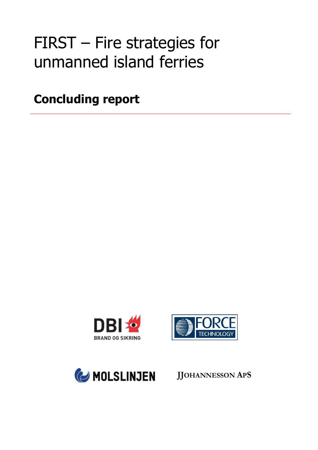# FIRST – Fire strategies for unmanned island ferries

**Concluding report**







**JJOHANNESSON APS**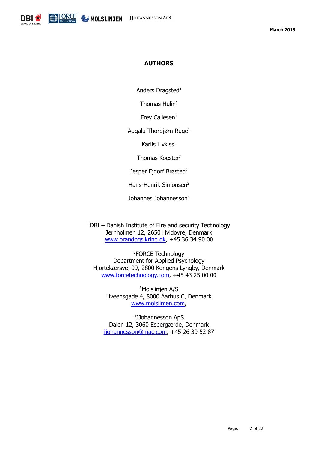

#### **AUTHORS**

Anders Dragsted<sup>1</sup>

Thomas  $Hulin<sup>1</sup>$ 

Frey Callesen $1$ 

Aqqalu Thorbjørn Ruge<sup>1</sup>

Karlis Livkiss<sup>1</sup>

Thomas Koester<sup>2</sup>

Jesper Ejdorf Brøsted<sup>2</sup>

Hans-Henrik Simonsen<sup>3</sup>

Johannes Johannesson<sup>4</sup>

 $1$ DBI – Danish Institute of Fire and security Technology Jernholmen 12, 2650 Hvidovre, Denmark [www.brandogsikring.dk,](http://www.brandogsikring.dk/) +45 36 34 90 00

<sup>2</sup>FORCE Technology Department for Applied Psychology Hjortekærsvej 99, 2800 Kongens Lyngby, Denmark [www.forcetechnology.com,](http://www.forcetechnology.com/) +45 43 25 00 00

<sup>3</sup>Molslinjen A/S Hveensgade 4, 8000 Aarhus C, Denmark [www.molslinjen.com,](http://www.molslinjen.com/)

4 JJohannesson ApS Dalen 12, 3060 Espergærde, Denmark [jjohannesson@mac.com,](mailto:jjohannesson@mac.com) +45 26 39 52 87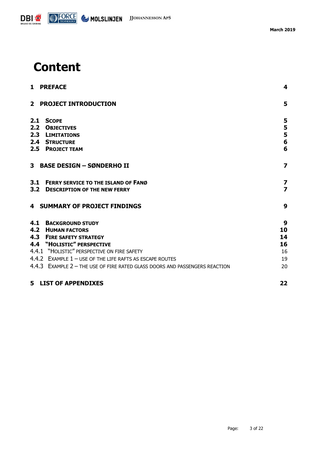

## **Content**

|     | 1 PREFACE                                                                   | 4                       |
|-----|-----------------------------------------------------------------------------|-------------------------|
|     | 2 PROJECT INTRODUCTION                                                      | 5                       |
|     | 2.1 SCOPE                                                                   | 5                       |
| 2.2 | <b>OBJECTIVES</b>                                                           | 5                       |
|     | 2.3 LIMITATIONS                                                             | 5                       |
|     | <b>2.4 STRUCTURE</b>                                                        | $6\phantom{1}$          |
|     | 2.5 PROJECT TEAM                                                            | 6                       |
|     | 3 BASE DESIGN - SØNDERHO II                                                 | $\overline{\mathbf{z}}$ |
|     | 3.1 FERRY SERVICE TO THE ISLAND OF FANG                                     | 7                       |
|     | 3.2 DESCRIPTION OF THE NEW FERRY                                            | $\overline{\mathbf{z}}$ |
|     | <b>4 SUMMARY OF PROJECT FINDINGS</b>                                        | 9                       |
|     | <b>4.1 BACKGROUND STUDY</b>                                                 | 9                       |
|     | <b>4.2 HUMAN FACTORS</b>                                                    | 10                      |
|     | <b>4.3 FIRE SAFETY STRATEGY</b>                                             | 14                      |
|     | 4.4 "HOLISTIC" PERSPECTIVE                                                  | 16                      |
|     | 4.4.1 "HOLISTIC" PERSPECTIVE ON FIRE SAFETY                                 | 16                      |
|     | 4.4.2 EXAMPLE 1 - USE OF THE LIFE RAFTS AS ESCAPE ROUTES                    | 19                      |
|     | 4.4.3 EXAMPLE 2 - THE USE OF FIRE RATED GLASS DOORS AND PASSENGERS REACTION | 20                      |
|     | <b>5 LIST OF APPENDIXES</b>                                                 | 22                      |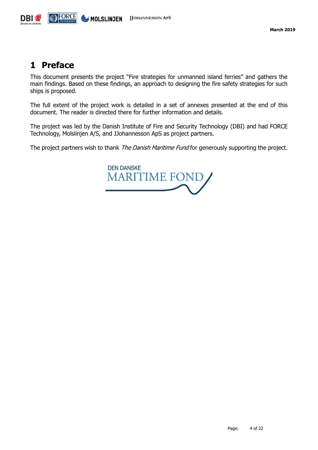

### <span id="page-3-0"></span>**1 Preface**

This document presents the project "Fire strategies for unmanned island ferries" and gathers the main findings. Based on these findings, an approach to designing the fire safety strategies for such ships is proposed.

The full extent of the project work is detailed in a set of annexes presented at the end of this document. The reader is directed there for further information and details.

The project was led by the Danish Institute of Fire and Security Technology (DBI) and had FORCE Technology, Molslinjen A/S, and JJohannesson ApS as project partners.

The project partners wish to thank *The Danish Maritime Fund* for generously supporting the project.

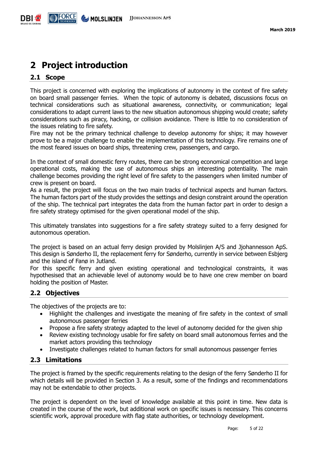## <span id="page-4-0"></span>**2 Project introduction**

#### <span id="page-4-1"></span>**2.1 Scope**

This project is concerned with exploring the implications of autonomy in the context of fire safety on board small passenger ferries. When the topic of autonomy is debated, discussions focus on technical considerations such as situational awareness, connectivity, or communication; legal considerations to adapt current laws to the new situation autonomous shipping would create; safety considerations such as piracy, hacking, or collision avoidance. There is little to no consideration of the issues relating to fire safety.

Fire may not be the primary technical challenge to develop autonomy for ships; it may however prove to be a major challenge to enable the implementation of this technology. Fire remains one of the most feared issues on board ships, threatening crew, passengers, and cargo.

In the context of small domestic ferry routes, there can be strong economical competition and large operational costs, making the use of autonomous ships an interesting potentiality. The main challenge becomes providing the right level of fire safety to the passengers when limited number of crew is present on board.

As a result, the project will focus on the two main tracks of technical aspects and human factors. The human factors part of the study provides the settings and design constraint around the operation of the ship. The technical part integrates the data from the human factor part in order to design a fire safety strategy optimised for the given operational model of the ship.

This ultimately translates into suggestions for a fire safety strategy suited to a ferry designed for autonomous operation.

The project is based on an actual ferry design provided by Molslinjen A/S and Jjohannesson ApS. This design is Sønderho II, the replacement ferry for Sønderho, currently in service between Esbjerg and the island of Fanø in Jutland.

For this specific ferry and given existing operational and technological constraints, it was hypothesised that an achievable level of autonomy would be to have one crew member on board holding the position of Master.

#### <span id="page-4-2"></span>**2.2 Objectives**

The objectives of the projects are to:

- Highlight the challenges and investigate the meaning of fire safety in the context of small autonomous passenger ferries
- Propose a fire safety strategy adapted to the level of autonomy decided for the given ship
- Review existing technology usable for fire safety on board small autonomous ferries and the market actors providing this technology
- Investigate challenges related to human factors for small autonomous passenger ferries

#### <span id="page-4-3"></span>**2.3 Limitations**

The project is framed by the specific requirements relating to the design of the ferry Sønderho II for which details will be provided in Section [3.](#page-6-0) As a result, some of the findings and recommendations may not be extendable to other projects.

The project is dependent on the level of knowledge available at this point in time. New data is created in the course of the work, but additional work on specific issues is necessary. This concerns scientific work, approval procedure with flag state authorities, or technology development.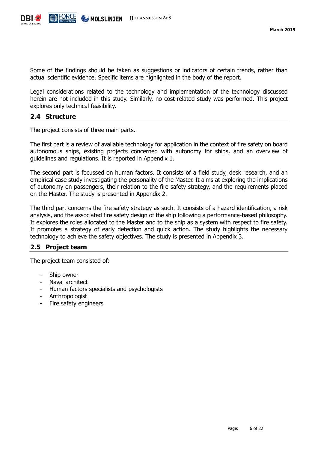

Some of the findings should be taken as suggestions or indicators of certain trends, rather than actual scientific evidence. Specific items are highlighted in the body of the report.

Legal considerations related to the technology and implementation of the technology discussed herein are not included in this study. Similarly, no cost-related study was performed. This project explores only technical feasibility.

#### <span id="page-5-0"></span>**2.4 Structure**

The project consists of three main parts.

The first part is a review of available technology for application in the context of fire safety on board autonomous ships, existing projects concerned with autonomy for ships, and an overview of guidelines and regulations. It is reported in Appendix 1.

The second part is focussed on human factors. It consists of a field study, desk research, and an empirical case study investigating the personality of the Master. It aims at exploring the implications of autonomy on passengers, their relation to the fire safety strategy, and the requirements placed on the Master. The study is presented in Appendix 2.

The third part concerns the fire safety strategy as such. It consists of a hazard identification, a risk analysis, and the associated fire safety design of the ship following a performance-based philosophy. It explores the roles allocated to the Master and to the ship as a system with respect to fire safety. It promotes a strategy of early detection and quick action. The study highlights the necessary technology to achieve the safety objectives. The study is presented in Appendix 3.

#### <span id="page-5-1"></span>**2.5 Project team**

The project team consisted of:

- Ship owner
- Naval architect
- Human factors specialists and psychologists
- **Anthropologist**
- Fire safety engineers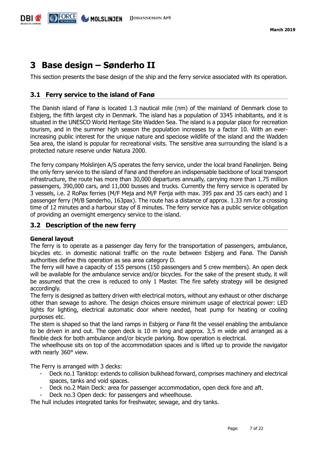

## <span id="page-6-0"></span>**3 Base design – Sønderho II**

This section presents the base design of the ship and the ferry service associated with its operation.

#### <span id="page-6-1"></span>**3.1 Ferry service to the island of Fanø**

The Danish island of Fanø is located 1.3 nautical mile (nm) of the mainland of Denmark close to Esbjerg, the fifth largest city in Denmark. The island has a population of 3345 inhabitants, and it is situated in the UNESCO World Heritage Site Wadden Sea. The island is a popular place for recreation tourism, and in the summer high season the population increases by a factor 10. With an everincreasing public interest for the unique nature and speciose wildlife of the island and the Wadden Sea area, the island is popular for recreational visits. The sensitive area surrounding the island is a protected nature reserve under Natura 2000.

The ferry company Molslinjen A/S operates the ferry service, under the local brand Fanølinjen. Being the only ferry service to the island of Fanø and therefore an indispensable backbone of local transport infrastructure, the route has more than 30,000 departures annually, carrying more than 1.75 million passengers, 390,000 cars, and 11,000 busses and trucks. Currently the ferry service is operated by 3 vessels, i.e. 2 RoPax ferries (M/F Meja and M/F Fenja with max. 395 pax and 35 cars each) and 1 passenger ferry (M/B Sønderho, 163pax). The route has a distance of approx. 1.33 nm for a crossing time of 12 minutes and a harbour stay of 8 minutes. The ferry service has a public service obligation of providing an overnight emergency service to the island.

#### <span id="page-6-2"></span>**3.2 Description of the new ferry**

#### **General layout**

The ferry is to operate as a passenger day ferry for the transportation of passengers, ambulance, bicycles etc. in domestic national traffic on the route between Esbjerg and Fanø. The Danish authorities define this operation as sea area category D.

The ferry will have a capacity of 155 persons (150 passengers and 5 crew members). An open deck will be available for the ambulance service and/or bicycles. For the sake of the present study, it will be assumed that the crew is reduced to only 1 Master. The fire safety strategy will be designed accordingly.

The ferry is designed as battery driven with electrical motors, without any exhaust or other discharge other than sewage to ashore. The design choices ensure minimum usage of electrical power: LED lights for lighting, electrical automatic door where needed, heat pump for heating or cooling purposes etc.

The stem is shaped so that the land ramps in Esbjerg or Fanø fit the vessel enabling the ambulance to be driven in and out. The open deck is 10 m long and approx. 3,5 m wide and arranged as a flexible deck for both ambulance and/or bicycle parking. Bow operation is electrical.

The wheelhouse sits on top of the accommodation spaces and is lifted up to provide the navigator with nearly 360° view.

The Ferry is arranged with 3 decks:

- Deck no.1 Tanktop: extends to collision bulkhead forward, comprises machinery and electrical spaces, tanks and void spaces.
- Deck no.2 Main Deck: area for passenger accommodation, open deck fore and aft.
- Deck no.3 Open deck: for passengers and wheelhouse.

The hull includes integrated tanks for freshwater, sewage, and dry tanks.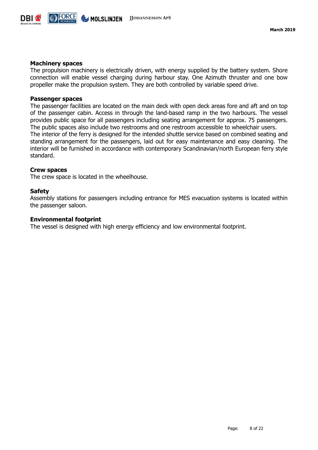

#### **Machinery spaces**

The propulsion machinery is electrically driven, with energy supplied by the battery system. Shore connection will enable vessel charging during harbour stay. One Azimuth thruster and one bow propeller make the propulsion system. They are both controlled by variable speed drive.

#### **Passenger spaces**

The passenger facilities are located on the main deck with open deck areas fore and aft and on top of the passenger cabin. Access in through the land-based ramp in the two harbours. The vessel provides public space for all passengers including seating arrangement for approx. 75 passengers. The public spaces also include two restrooms and one restroom accessible to wheelchair users. The interior of the ferry is designed for the intended shuttle service based on combined seating and standing arrangement for the passengers, laid out for easy maintenance and easy cleaning. The interior will be furnished in accordance with contemporary Scandinavian/north European ferry style standard.

#### **Crew spaces**

The crew space is located in the wheelhouse.

#### **Safety**

Assembly stations for passengers including entrance for MES evacuation systems is located within the passenger saloon.

#### **Environmental footprint**

The vessel is designed with high energy efficiency and low environmental footprint.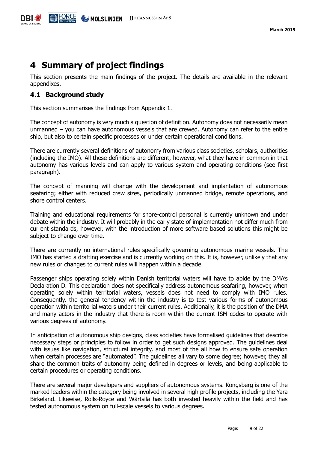## <span id="page-8-0"></span>**4 Summary of project findings**

This section presents the main findings of the project. The details are available in the relevant appendixes.

#### <span id="page-8-1"></span>**4.1 Background study**

This section summarises the findings from Appendix 1.

The concept of autonomy is very much a question of definition. Autonomy does not necessarily mean unmanned – you can have autonomous vessels that are crewed. Autonomy can refer to the entire ship, but also to certain specific processes or under certain operational conditions.

There are currently several definitions of autonomy from various class societies, scholars, authorities (including the IMO). All these definitions are different, however, what they have in common in that autonomy has various levels and can apply to various system and operating conditions (see first paragraph).

The concept of manning will change with the development and implantation of autonomous seafaring; either with reduced crew sizes, periodically unmanned bridge, remote operations, and shore control centers.

Training and educational requirements for shore-control personal is currently unknown and under debate within the industry. It will probably in the early state of implementation not differ much from current standards, however, with the introduction of more software based solutions this might be subject to change over time.

There are currently no international rules specifically governing autonomous marine vessels. The IMO has started a drafting exercise and is currently working on this. It is, however, unlikely that any new rules or changes to current rules will happen within a decade.

Passenger ships operating solely within Danish territorial waters will have to abide by the DMA's Declaration D. This declaration does not specifically address autonomous seafaring, however, when operating solely within territorial waters, vessels does not need to comply with IMO rules. Consequently, the general tendency within the industry is to test various forms of autonomous operation within territorial waters under their current rules. Additionally, it is the position of the DMA and many actors in the industry that there is room within the current ISM codes to operate with various degrees of autonomy.

In anticipation of autonomous ship designs, class societies have formalised guidelines that describe necessary steps or principles to follow in order to get such designs approved. The guidelines deal with issues like navigation, structural integrity, and most of the all how to ensure safe operation when certain processes are "automated". The guidelines all vary to some degree; however, they all share the common traits of autonomy being defined in degrees or levels, and being applicable to certain procedures or operating conditions.

There are several major developers and suppliers of autonomous systems. Kongsberg is one of the marked leaders within the category being involved in several high profile projects, including the Yara Birkeland. Likewise, Rolls-Royce and Wärtsilä has both invested heavily within the field and has tested autonomous system on full-scale vessels to various degrees.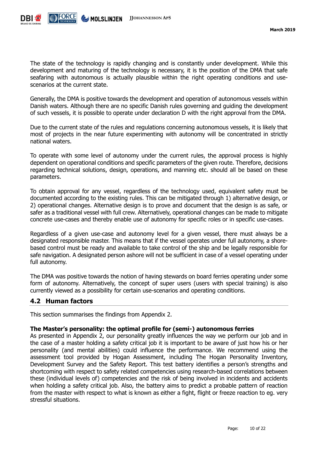

The state of the technology is rapidly changing and is constantly under development. While this development and maturing of the technology is necessary, it is the position of the DMA that safe seafaring with autonomous is actually plausible within the right operating conditions and usescenarios at the current state.

Generally, the DMA is positive towards the development and operation of autonomous vessels within Danish waters. Although there are no specific Danish rules governing and guiding the development of such vessels, it is possible to operate under declaration D with the right approval from the DMA.

Due to the current state of the rules and regulations concerning autonomous vessels, it is likely that most of projects in the near future experimenting with autonomy will be concentrated in strictly national waters.

To operate with some level of autonomy under the current rules, the approval process is highly dependent on operational conditions and specific parameters of the given route. Therefore, decisions regarding technical solutions, design, operations, and manning etc. should all be based on these parameters.

To obtain approval for any vessel, regardless of the technology used, equivalent safety must be documented according to the existing rules. This can be mitigated through 1) alternative design, or 2) operational changes. Alternative design is to prove and document that the design is as safe, or safer as a traditional vessel with full crew. Alternatively, operational changes can be made to mitigate concrete use-cases and thereby enable use of autonomy for specific roles or in specific use-cases.

Regardless of a given use-case and autonomy level for a given vessel, there must always be a designated responsible master. This means that if the vessel operates under full autonomy, a shorebased control must be ready and available to take control of the ship and be legally responsible for safe navigation. A designated person ashore will not be sufficient in case of a vessel operating under full autonomy.

The DMA was positive towards the notion of having stewards on board ferries operating under some form of autonomy. Alternatively, the concept of super users (users with special training) is also currently viewed as a possibility for certain use-scenarios and operating conditions.

#### <span id="page-9-0"></span>**4.2 Human factors**

This section summarises the findings from Appendix 2.

#### **The Master's personality: the optimal profile for (semi-) autonomous ferries**

As presented in Appendix 2, our personality greatly influences the way we perform our job and in the case of a master holding a safety critical job it is important to be aware of just how his or her personality (and mental abilities) could influence the performance. We recommend using the assessment tool provided by Hogan Assessment, including The Hogan Personality Inventory, Development Survey and the Safety Report. This test battery identifies a person's strengths and shortcoming with respect to safety related competencies using research-based correlations between these (individual levels of) competencies and the risk of being involved in incidents and accidents when holding a safety critical job. Also, the battery aims to predict a probable pattern of reaction from the master with respect to what is known as either a fight, flight or freeze reaction to eg. very stressful situations.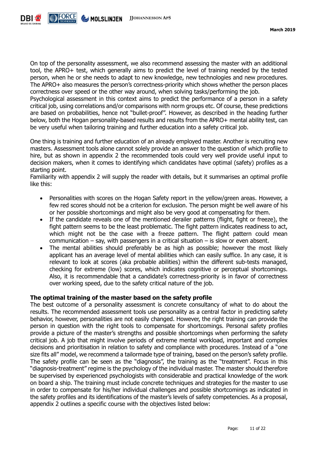

On top of the personality assessment, we also recommend assessing the master with an additional tool, the APRO+ test, which generally aims to predict the level of training needed by the tested person, when he or she needs to adapt to new knowledge, new technologies and new procedures. The APRO+ also measures the person's correctness-priority which shows whether the person places correctness over speed or the other way around, when solving tasks/performing the job.

Psychological assessment in this context aims to predict the performance of a person in a safety critical job, using correlations and/or comparisons with norm groups etc. Of course, these predictions are based on probabilities, hence not "bullet-proof". However, as described in the heading further below, both the Hogan personality-based results and results from the APRO+ mental ability test, can be very useful when tailoring training and further education into a safety critical job.

One thing is training and further education of an already employed master. Another is recruiting new masters. Assessment tools alone cannot solely provide an answer to the question of which profile to hire, but as shown in appendix 2 the recommended tools could very well provide useful input to decision makers, when it comes to identifying which candidates have optimal (safety) profiles as a starting point.

Familiarity with appendix 2 will supply the reader with details, but it summarises an optimal profile like this:

- Personalities with scores on the Hogan Safety report in the yellow/green areas. However, a few red scores should not be a criterion for exclusion. The person might be well aware of his or her possible shortcomings and might also be very good at compensating for them.
- If the candidate reveals one of the mentioned derailer patterns (flight, fight or freeze), the fight pattern seems to be the least problematic. The fight pattern indicates readiness to act, which might not be the case with a freeze pattern. The flight pattern could mean communication – say, with passengers in a critical situation – is slow or even absent.
- The mental abilities should preferably be as high as possible; however the most likely applicant has an average level of mental abilities which can easily suffice. In any case, it is relevant to look at scores (aka probable abilities) within the different sub-tests managed, checking for extreme (low) scores, which indicates cognitive or perceptual shortcomings. Also, it is recommendable that a candidate's correctness-priority is in favor of correctness over working speed, due to the safety critical nature of the job.

#### **The optimal training of the master based on the safety profile**

The best outcome of a personality assessment is concrete consultancy of what to do about the results. The recommended assessment tools use personality as a central factor in predicting safety behavior, however, personalities are not easily changed. However, the right training can provide the person in question with the right tools to compensate for shortcomings. Personal safety profiles provide a picture of the master's strengths and possible shortcomings when performing the safety critical job. A job that might involve periods of extreme mental workload, important and complex decisions and prioritisation in relation to safety and compliance with procedures. Instead of a "one size fits all" model, we recommend a tailormade type of training, based on the person's safety profile. The safety profile can be seen as the "diagnosis", the training as the "treatment". Focus in this "diagnosis-treatment" regime is the psychology of the individual master. The master should therefore be supervised by experienced psychologists with considerable and practical knowledge of the work on board a ship. The training must include concrete techniques and strategies for the master to use in order to compensate for his/her individual challenges and possible shortcomings as indicated in the safety profiles and its identifications of the master's levels of safety competencies. As a proposal, appendix 2 outlines a specific course with the objectives listed below: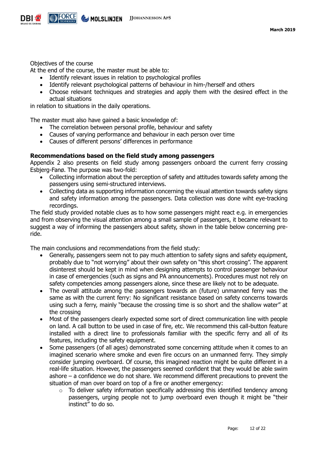

Objectives of the course

At the end of the course, the master must be able to:

- Identify relevant issues in relation to psychological profiles
- Identify relevant psychological patterns of behaviour in him-/herself and others
- Choose relevant techniques and strategies and apply them with the desired effect in the actual situations

in relation to situations in the daily operations.

The master must also have gained a basic knowledge of:

- The correlation between personal profile, behaviour and safety
- Causes of varying performance and behaviour in each person over time
- Causes of different persons' differences in performance

#### **Recommendations based on the field study among passengers**

Appendix 2 also presents on field study among passengers onboard the current ferry crossing Esbjerg-Fanø. The purpose was two-fold:

- Collecting information about the perception of safety and attitudes towards safety among the passengers using semi-structured interviews.
- Collecting data as supporting information concerning the visual attention towards safety signs and safety information among the passengers. Data collection was done wiht eye-tracking recordings.

The field study provided notable clues as to how some passengers might react e.g. in emergencies and from observing the visual attention among a small sample of passengers, it became relevant to suggest a way of informing the passengers about safety, shown in the table below concerning preride.

The main conclusions and recommendations from the field study:

- Generally, passengers seem not to pay much attention to safety signs and safety equipment, probably due to "not worrying" about their own safety on "this short crossing". The apparent disinterest should be kept in mind when designing attempts to control passenger behaviour in case of emergencies (such as signs and PA announcements). Procedures must not rely on safety competencies among passengers alone, since these are likely not to be adequate.
- The overall attitude among the passengers towards an (future) unmanned ferry was the same as with the current ferry: No significant resistance based on safety concerns towards using such a ferry, mainly "because the crossing time is so short and the shallow water" at the crossing
- Most of the passengers clearly expected some sort of direct communication line with people on land. A call button to be used in case of fire, etc. We recommend this call-button feature installed with a direct line to professionals familiar with the specific ferry and all of its features, including the safety equipment.
- Some passengers (of all ages) demonstrated some concerning attitude when it comes to an imagined scenario where smoke and even fire occurs on an unmanned ferry. They simply consider jumping overboard. Of course, this imagined reaction might be quite different in a real-life situation. However, the passengers seemed confident that they would be able swim ashore – a confidence we do not share. We recommend different precautions to prevent the situation of man over board on top of a fire or another emergency:
	- $\circ$  To deliver safety information specifically addressing this identified tendency among passengers, urging people not to jump overboard even though it might be "their instinct" to do so.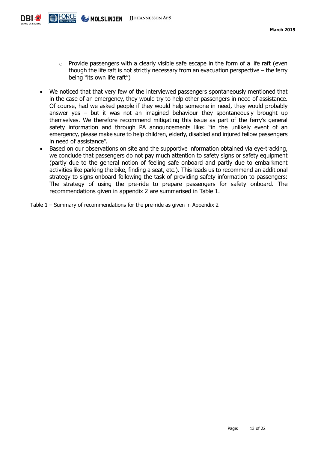

- $\circ$  Provide passengers with a clearly visible safe escape in the form of a life raft (even though the life raft is not strictly necessary from an evacuation perspective – the ferry being "its own life raft")
- We noticed that that very few of the interviewed passengers spontaneously mentioned that in the case of an emergency, they would try to help other passengers in need of assistance. Of course, had we asked people if they would help someone in need, they would probably answer yes  $-$  but it was not an imagined behaviour they spontaneously brought up themselves. We therefore recommend mitigating this issue as part of the ferry's general safety information and through PA announcements like: "in the unlikely event of an emergency, please make sure to help children, elderly, disabled and injured fellow passengers in need of assistance".
- Based on our observations on site and the supportive information obtained via eye-tracking, we conclude that passengers do not pay much attention to safety signs or safety equipment (partly due to the general notion of feeling safe onboard and partly due to embarkment activities like parking the bike, finding a seat, etc.). This leads us to recommend an additional strategy to signs onboard following the task of providing safety information to passengers: The strategy of using the pre-ride to prepare passengers for safety onboard. The recommendations given in appendix 2 are summarised in [Table 1.](#page-12-0)
- <span id="page-12-0"></span>Table 1 – Summary of recommendations for the pre-ride as given in Appendix 2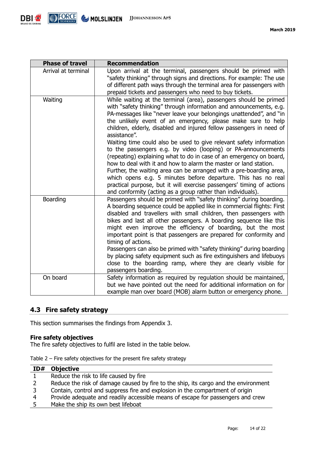

| <b>Phase of travel</b> | <b>Recommendation</b>                                                                                                                                                                                                                                                                                                                                                                                                                                                                                                                                                                                                                                                                                                                                                                                                                                                                                                                    |  |
|------------------------|------------------------------------------------------------------------------------------------------------------------------------------------------------------------------------------------------------------------------------------------------------------------------------------------------------------------------------------------------------------------------------------------------------------------------------------------------------------------------------------------------------------------------------------------------------------------------------------------------------------------------------------------------------------------------------------------------------------------------------------------------------------------------------------------------------------------------------------------------------------------------------------------------------------------------------------|--|
| Arrival at terminal    | Upon arrival at the terminal, passengers should be primed with<br>"safety thinking" through signs and directions. For example: The use<br>of different path ways through the terminal area for passengers with<br>prepaid tickets and passengers who need to buy tickets.                                                                                                                                                                                                                                                                                                                                                                                                                                                                                                                                                                                                                                                                |  |
| Waiting                | While waiting at the terminal (area), passengers should be primed<br>with "safety thinking" through information and announcements, e.g.<br>PA-messages like "never leave your belongings unattended", and "in<br>the unlikely event of an emergency, please make sure to help<br>children, elderly, disabled and injured fellow passengers in need of<br>assistance".<br>Waiting time could also be used to give relevant safety information<br>to the passengers e.g. by video (looping) or PA-announcements<br>(repeating) explaining what to do in case of an emergency on board,<br>how to deal with it and how to alarm the master or land station.<br>Further, the waiting area can be arranged with a pre-boarding area,<br>which opens e.g. 5 minutes before departure. This has no real<br>practical purpose, but it will exercise passengers' timing of actions<br>and conformity (acting as a group rather than individuals). |  |
| Boarding               | Passengers should be primed with "safety thinking" during boarding.<br>A boarding sequence could be applied like in commercial flights: First<br>disabled and travellers with small children, then passengers with<br>bikes and last all other passengers. A boarding sequence like this<br>might even improve the efficiency of boarding, but the most<br>important point is that passengers are prepared for conformity and<br>timing of actions.<br>Passengers can also be primed with "safety thinking" during boarding<br>by placing safety equipment such as fire extinguishers and lifebuoys<br>close to the boarding ramp, where they are clearly visible for<br>passengers boarding.                                                                                                                                                                                                                                            |  |
| On board               | Safety information as required by regulation should be maintained,<br>but we have pointed out the need for additional information on for<br>example man over board (MOB) alarm button or emergency phone.                                                                                                                                                                                                                                                                                                                                                                                                                                                                                                                                                                                                                                                                                                                                |  |

#### <span id="page-13-0"></span>**4.3 Fire safety strategy**

This section summarises the findings from Appendix 3.

#### **Fire safety objectives**

The fire safety objectives to fulfil are listed in the table below.

| ID# | <b>Objective</b>                                                                    |
|-----|-------------------------------------------------------------------------------------|
|     | Reduce the risk to life caused by fire                                              |
|     | Reduce the risk of damage caused by fire to the ship, its cargo and the environment |
|     | Contain, control and suppress fire and explosion in the compartment of origin       |
|     | Provide adequate and readily accessible means of escape for passengers and crew     |
| 5.  | Make the ship its own best lifeboat                                                 |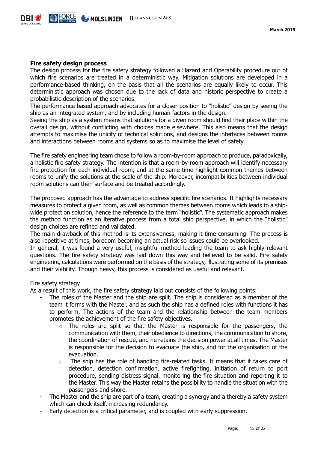

#### **Fire safety design process**

The design process for the fire safety strategy followed a Hazard and Operability procedure out of which fire scenarios are treated in a deterministic way. Mitigation solutions are developed in a performance-based thinking, on the basis that all the scenarios are equally likely to occur. This deterministic approach was chosen due to the lack of data and historic perspective to create a probabilistic description of the scenarios.

The performance based approach advocates for a closer position to "holistic" design by seeing the ship as an integrated system, and by including human factors in the design.

Seeing the ship as a system means that solutions for a given room should find their place within the overall design, without conflicting with choices made elsewhere. This also means that the design attempts to maximise the unicity of technical solutions, and designs the interfaces between rooms and interactions between rooms and systems so as to maximise the level of safety.

The fire safety engineering team chose to follow a room-by-room approach to produce, paradoxically, a holistic fire safety strategy. The intention is that a room-by-room approach will identify necessary fire protection for each individual room, and at the same time highlight common themes between rooms to unify the solutions at the scale of the ship. Moreover, incompatibilities between individual room solutions can then surface and be treated accordingly.

The proposed approach has the advantage to address specific fire scenarios. It highlights necessary measures to protect a given room, as well as common themes between rooms which leads to a shipwide protection solution, hence the reference to the term "holistic". The systematic approach makes the method function as an iterative process from a total ship perspective, in which the "holistic" design choices are refined and validated.

The main drawback of this method is its extensiveness, making it time-consuming. The process is also repetitive at times, boredom becoming an actual risk so issues could be overlooked.

In general, it was found a very useful, insightful method leading the team to ask highly relevant questions. The fire safety strategy was laid down this way and believed to be valid. Fire safety engineering calculations were performed on the basis of the strategy, illustrating some of its premises and their viability. Though heavy, this process is considered as useful and relevant.

#### Fire safety strategy

As a result of this work, the fire safety strategy laid out consists of the following points:

- The roles of the Master and the ship are split. The ship is considered as a member of the team it forms with the Master, and as such the ship has a defined roles with functions it has to perform. The actions of the team and the relationship between the team members promotes the achievement of the fire safety objectives.
	- $\circ$  The roles are split so that the Master is responsible for the passengers, the communication with them, their obedience to directions, the communication to shore, the coordination of rescue, and he retains the decision power at all times. The Master is responsible for the decision to evacuate the ship, and for the organisation of the evacuation.
	- $\circ$  The ship has the role of handling fire-related tasks. It means that it takes care of detection, detection confirmation, active firefighting, initiation of return to port procedure, sending distress signal, monitoring the fire situation and reporting it to the Master. This way the Master retains the possibility to handle the situation with the passengers and shore.
- The Master and the ship are part of a team, creating a synergy and a thereby a safety system which can check itself, increasing redundancy.
- Early detection is a critical parameter, and is coupled with early suppression.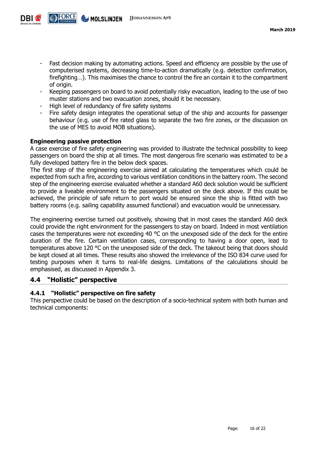

- Fast decision making by automating actions. Speed and efficiency are possible by the use of computerised systems, decreasing time-to-action dramatically (e.g. detection confirmation, firefighting…). This maximises the chance to control the fire an contain it to the compartment of origin.
- Keeping passengers on board to avoid potentially risky evacuation, leading to the use of two muster stations and two evacuation zones, should it be necessary.
- High level of redundancy of fire safety systems
- Fire safety design integrates the operational setup of the ship and accounts for passenger behaviour (e.g. use of fire rated glass to separate the two fire zones, or the discussion on the use of MES to avoid MOB situations).

#### **Engineering passive protection**

A case exercise of fire safety engineering was provided to illustrate the technical possibility to keep passengers on board the ship at all times. The most dangerous fire scenario was estimated to be a fully developed battery fire in the below deck spaces.

The first step of the engineering exercise aimed at calculating the temperatures which could be expected from such a fire, according to various ventilation conditions in the battery room. The second step of the engineering exercise evaluated whether a standard A60 deck solution would be sufficient to provide a liveable environment to the passengers situated on the deck above. If this could be achieved, the principle of safe return to port would be ensured since the ship is fitted with two battery rooms (e.g. sailing capability assumed functional) and evacuation would be unnecessary.

The engineering exercise turned out positively, showing that in most cases the standard A60 deck could provide the right environment for the passengers to stay on board. Indeed in most ventilation cases the temperatures were not exceeding 40 °C on the unexposed side of the deck for the entire duration of the fire. Certain ventilation cases, corresponding to having a door open, lead to temperatures above 120 °C on the unexposed side of the deck. The takeout being that doors should be kept closed at all times. These results also showed the irrelevance of the ISO 834 curve used for testing purposes when it turns to real-life designs. Limitations of the calculations should be emphasised, as discussed in Appendix 3.

#### <span id="page-15-0"></span>**4.4 "Holistic" perspective**

#### <span id="page-15-1"></span>**4.4.1 "Holistic" perspective on fire safety**

This perspective could be based on the description of a socio-technical system with both human and technical components: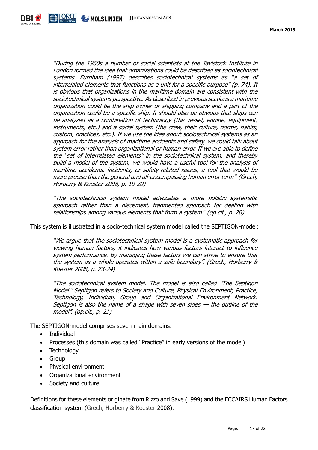

"During the 1960s a number of social scientists at the Tavistock Institute in London formed the idea that organizations could be described as sociotechnical systems. Furnham (1997) describes sociotechnical systems as "a set of interrelated elements that functions as a unit for a specific purpose" (p. 74). It is obvious that organizations in the maritime domain are consistent with the sociotechnical systems perspective. As described in previous sections a maritime organization could be the ship owner or shipping company and a part of the organization could be a specific ship. It should also be obvious that ships can be analyzed as a combination of technology (the vessel, engine, equipment, instruments, etc.) and a social system (the crew, their culture, norms, habits, custom, practices, etc.). If we use the idea about sociotechnical systems as an approach for the analysis of maritime accidents and safety, we could talk about system error rather than organizational or human error. If we are able to define the "set of interrelated elements" in the sociotechnical system, and thereby build a model of the system, we would have a useful tool for the analysis of maritime accidents, incidents, or safety-related issues, a tool that would be more precise than the general and all-encompassing human error term". (Grech, Horberry & Koester 2008, p. 19-20)

"The sociotechnical system model advocates a more holistic systematic approach rather than a piecemeal, fragmented approach for dealing with relationships among various elements that form a system". (op.cit., p. 20)

This system is illustrated in a socio-technical system model called the SEPTIGON-model:

"We argue that the sociotechnical system model is a systematic approach for viewing human factors; it indicates how various factors interact to influence system performance. By managing these factors we can strive to ensure that the system as a whole operates within a safe boundary". (Grech, Horberry & Koester 2008, p. 23-24)

"The sociotechnical system model. The model is also called "The Septigon Model." Septigon refers to Society and Culture, Physical Environment, Practice, Technology, Individual, Group and Organizational Environment Network. Septigon is also the name of a shape with seven sides  $-$  the outline of the model". (op.cit., p. 21)

The SEPTIGON-model comprises seven main domains:

- Individual
- Processes (this domain was called "Practice" in early versions of the model)
- Technology
- Group
- Physical environment
- Organizational environment
- Society and culture

Definitions for these elements originate from Rizzo and Save (1999) and the ECCAIRS Human Factors classification system (Grech, Horberry & Koester 2008).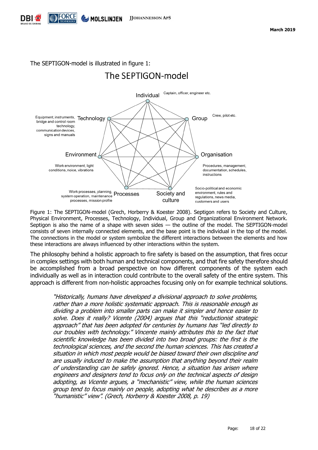

The SEPTIGON-model is illustrated in figure 1:

## The SEPTIGON-model



Figure 1: The SEPTIGON-model (Grech, Horberry & Koester 2008). Septigon refers to Society and Culture, Physical Environment, Processes, Technology, Individual, Group and Organizational Environment Network. Septigon is also the name of a shape with seven sides — the outline of the model. The SEPTIGON-model consists of seven internally connected elements, and the base point is the individual in the top of the model. The connections in the model or system symbolize the different interactions between the elements and how these interactions are always influenced by other interactions within the system.

The philosophy behind a holistic approach to fire safety is based on the assumption, that fires occur in complex settings with both human and technical components, and that fire safety therefore should be accomplished from a broad perspective on how different components of the system each individually as well as in interaction could contribute to the overall safety of the entire system. This approach is different from non-holistic approaches focusing only on for example technical solutions.

"Historically, humans have developed a divisional approach to solve problems, rather than a more holistic systematic approach. This is reasonable enough as dividing a problem into smaller parts can make it simpler and hence easier to solve. Does it really? Vicente (2004) argues that this "reductionist strategic approach" that has been adopted for centuries by humans has "led directly to our troubles with technology." Vincente mainly attributes this to the fact that scientific knowledge has been divided into two broad groups: the first is the technological sciences, and the second the human sciences. This has created a situation in which most people would be biased toward their own discipline and are usually induced to make the assumption that anything beyond their realm of understanding can be safely ignored. Hence, a situation has arisen where engineers and designers tend to focus only on the technical aspects of design adopting, as Vicente argues, a "mechanistic" view, while the human sciences group tend to focus mainly on people, adopting what he describes as a more "humanistic" view". (Grech, Horberry & Koester 2008, p. 19)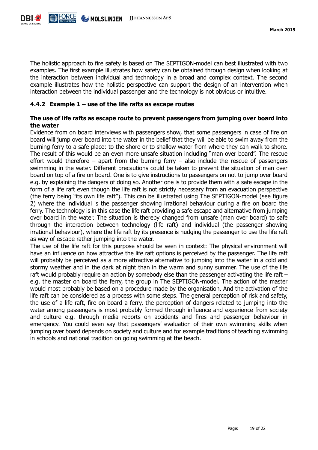

The holistic approach to fire safety is based on The SEPTIGON-model can best illustrated with two examples. The first example illustrates how safety can be obtained through design when looking at the interaction between individual and technology in a broad and complex context. The second example illustrates how the holistic perspective can support the design of an intervention when interaction between the individual passenger and the technology is not obvious or intuitive.

#### <span id="page-18-0"></span>**4.4.2 Example 1 – use of the life rafts as escape routes**

#### **The use of life rafts as escape route to prevent passengers from jumping over board into the water**

Evidence from on board interviews with passengers show, that some passengers in case of fire on board will jump over board into the water in the belief that they will be able to swim away from the burning ferry to a safe place: to the shore or to shallow water from where they can walk to shore. The result of this would be an even more unsafe situation including "man over board". The rescue effort would therefore – apart from the burning ferry – also include the rescue of passengers swimming in the water. Different precautions could be taken to prevent the situation of man over board on top of a fire on board. One is to give instructions to passengers on not to jump over board e.g. by explaining the dangers of doing so. Another one is to provide them with a safe escape in the form of a life raft even though the life raft is not strictly necessary from an evacuation perspective (the ferry being "its own life raft"). This can be illustrated using The SEPTIGON-model (see figure 2) where the individual is the passenger showing irrational behaviour during a fire on board the ferry. The technology is in this case the life raft providing a safe escape and alternative from jumping over board in the water. The situation is thereby changed from unsafe (man over board) to safe through the interaction between technology (life raft) and individual (the passenger showing irrational behaviour), where the life raft by its presence is nudging the passenger to use the life raft as way of escape rather jumping into the water.

The use of the life raft for this purpose should be seen in context: The physical environment will have an influence on how attractive the life raft options is perceived by the passenger. The life raft will probably be perceived as a more attractive alternative to jumping into the water in a cold and stormy weather and in the dark at night than in the warm and sunny summer. The use of the life raft would probably require an action by somebody else than the passenger activating the life raft – e.g. the master on board the ferry, the group in The SEPTIGON-model. The action of the master would most probably be based on a procedure made by the organisation. And the activation of the life raft can be considered as a process with some steps. The general perception of risk and safety, the use of a life raft, fire on board a ferry, the perception of dangers related to jumping into the water among passengers is most probably formed through influence and experience from society and culture e.g. through media reports on accidents and fires and passenger behaviour in emergency. You could even say that passengers' evaluation of their own swimming skills when jumping over board depends on society and culture and for example traditions of teaching swimming in schools and national tradition on going swimming at the beach.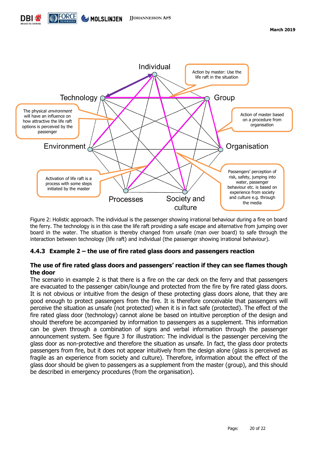



Figure 2: Holistic approach. The individual is the passenger showing irrational behaviour during a fire on board the ferry. The technology is in this case the life raft providing a safe escape and alternative from jumping over board in the water. The situation is thereby changed from unsafe (man over board) to safe through the interaction between technology (life raft) and individual (the passenger showing irrational behaviour).

#### <span id="page-19-0"></span>**4.4.3 Example 2 – the use of fire rated glass doors and passengers reaction**

#### **The use of fire rated glass doors and passengers' reaction if they can see flames though the door**

The scenario in example 2 is that there is a fire on the car deck on the ferry and that passengers are evacuated to the passenger cabin/lounge and protected from the fire by fire rated glass doors. It is not obvious or intuitive from the design of these protecting glass doors alone, that they are good enough to protect passengers from the fire. It is therefore conceivable that passengers will perceive the situation as unsafe (not protected) when it is in fact safe (protected). The effect of the fire rated glass door (technology) cannot alone be based on intuitive perception of the design and should therefore be accompanied by information to passengers as a supplement. This information can be given through a combination of signs and verbal information through the passenger announcement system. See figure 3 for illustration: The individual is the passenger perceiving the glass door as non-protective and therefore the situation as unsafe. In fact, the glass door protects passengers from fire, but it does not appear intuitively from the design alone (glass is perceived as fragile as an experience from society and culture). Therefore, information about the effect of the glass door should be given to passengers as a supplement from the master (group), and this should be described in emergency procedures (from the organisation).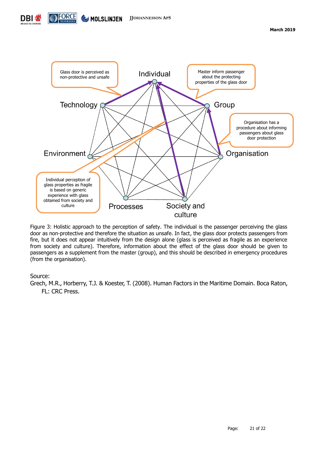



Figure 3: Holistic approach to the perception of safety. The individual is the passenger perceiving the glass door as non-protective and therefore the situation as unsafe. In fact, the glass door protects passengers from fire, but it does not appear intuitively from the design alone (glass is perceived as fragile as an experience from society and culture). Therefore, information about the effect of the glass door should be given to passengers as a supplement from the master (group), and this should be described in emergency procedures (from the organisation).

#### Source:

Grech, M.R., Horberry, T.J. & Koester, T. (2008). Human Factors in the Maritime Domain. Boca Raton, FL: CRC Press.